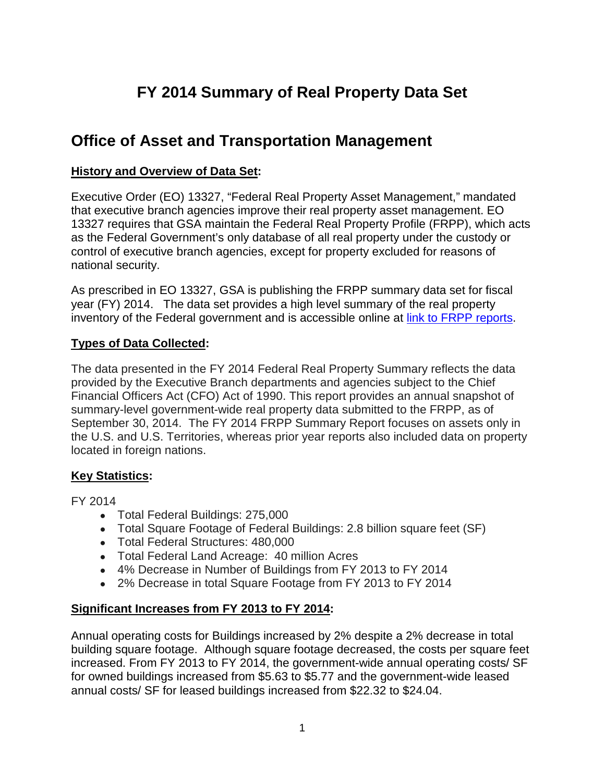# **FY 2014 Summary of Real Property Data Set**

# **Office of Asset and Transportation Management**

#### **History and Overview of Data Set:**

Executive Order (EO) 13327, "Federal Real Property Asset Management," mandated that executive branch agencies improve their real property asset management. EO 13327 requires that GSA maintain the Federal Real Property Profile (FRPP), which acts as the Federal Government's only database of all real property under the custody or control of executive branch agencies, except for property excluded for reasons of national security.

As prescribed in EO 13327, GSA is publishing the FRPP summary data set for fiscal year (FY) 2014. The data set provides a high level summary of the real property inventory of the Federal government and is accessible online at [link to FRPP reports.](http://www.gsa.gov/frppreports)

#### **Types of Data Collected:**

The data presented in the FY 2014 Federal Real Property Summary reflects the data provided by the Executive Branch departments and agencies subject to the Chief Financial Officers Act (CFO) Act of 1990. This report provides an annual snapshot of summary-level government-wide real property data submitted to the FRPP, as of September 30, 2014. The FY 2014 FRPP Summary Report focuses on assets only in the U.S. and U.S. Territories, whereas prior year reports also included data on property located in foreign nations.

# **Key Statistics:**

FY 2014

- Total Federal Buildings: 275,000
- Total Square Footage of Federal Buildings: 2.8 billion square feet (SF)
- Total Federal Structures: 480,000
- Total Federal Land Acreage: 40 million Acres
- 4% Decrease in Number of Buildings from FY 2013 to FY 2014
- 2% Decrease in total Square Footage from FY 2013 to FY 2014

# **Significant Increases from FY 2013 to FY 2014:**

Annual operating costs for Buildings increased by 2% despite a 2% decrease in total building square footage. Although square footage decreased, the costs per square feet increased. From FY 2013 to FY 2014, the government-wide annual operating costs/ SF for owned buildings increased from \$5.63 to \$5.77 and the government-wide leased annual costs/ SF for leased buildings increased from \$22.32 to \$24.04.